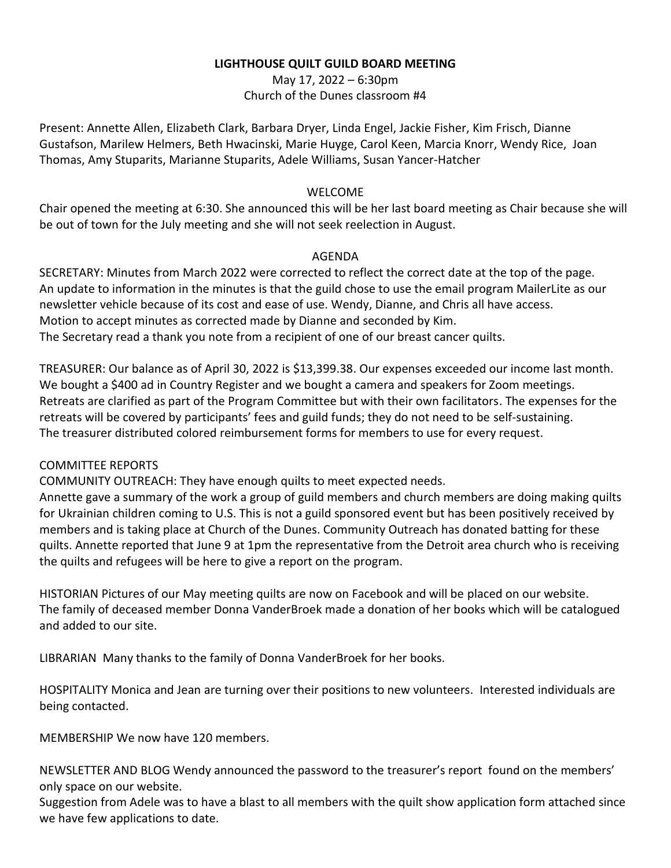### **LIGHTHOUSE QUILT GUILD BOARD MEETING**

May 17, 2022 – 6:30pm Church of the Dunes classroom #4

Present: Annette Allen, Elizabeth Clark, Barbara Dryer, Linda Engel, Jackie Fisher, Kim Frisch, Dianne Gustafson, Marilew Helmers, Beth Hwacinski, Marie Huyge, Carol Keen, Marcia Knorr, Wendy Rice, Joan Thomas, Amy Stuparits, Marianne Stuparits, Adele Williams, Susan Yancer-Hatcher

## WELCOME

Chair opened the meeting at 6:30. She announced this will be her last board meeting as Chair because she will be out of town for the July meeting and she will not seek reelection in August.

### AGENDA

SECRETARY: Minutes from March 2022 were corrected to reflect the correct date at the top of the page. An update to information in the minutes is that the guild chose to use the email program MailerLite as our newsletter vehicle because of its cost and ease of use. Wendy, Dianne, and Chris all have access. Motion to accept minutes as corrected made by Dianne and seconded by Kim. The Secretary read a thank you note from a recipient of one of our breast cancer quilts.

TREASURER: Our balance as of April 30, 2022 is \$13,399.38. Our expenses exceeded our income last month. We bought a \$400 ad in Country Register and we bought a camera and speakers for Zoom meetings. Retreats are clarified as part of the Program Committee but with their own facilitators. The expenses for the retreats will be covered by participants' fees and guild funds; they do not need to be self-sustaining. The treasurer distributed colored reimbursement forms for members to use for every request.

### COMMITTEE REPORTS

COMMUNITY OUTREACH: They have enough quilts to meet expected needs.

Annette gave a summary of the work a group of guild members and church members are doing making quilts for Ukrainian children coming to U.S. This is not a guild sponsored event but has been positively received by members and is taking place at Church of the Dunes. Community Outreach has donated batting for these quilts. Annette reported that June 9 at 1pm the representative from the Detroit area church who is receiving the quilts and refugees will be here to give a report on the program.

HISTORIAN Pictures of our May meeting quilts are now on Facebook and will be placed on our website. The family of deceased member Donna VanderBroek made a donation of her books which will be catalogued and added to our site.

LIBRARIAN Many thanks to the family of Donna VanderBroek for her books.

HOSPITALITY Monica and Jean are turning over their positions to new volunteers. Interested individuals are being contacted.

MEMBERSHIP We now have 120 members.

NEWSLETTER AND BLOG Wendy announced the password to the treasurer's report found on the members' only space on our website.

Suggestion from Adele was to have a blast to all members with the quilt show application form attached since we have few applications to date.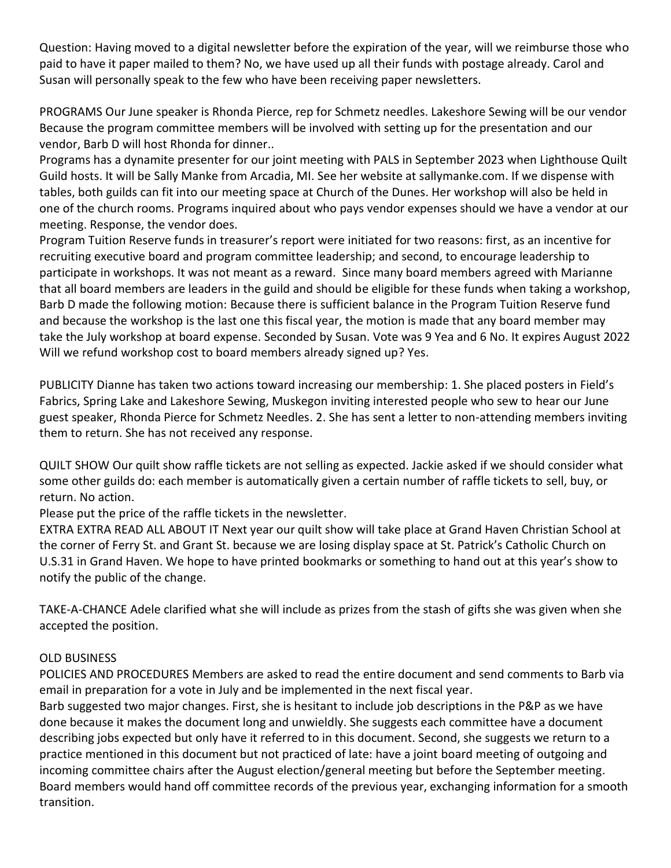Question: Having moved to a digital newsletter before the expiration of the year, will we reimburse those who paid to have it paper mailed to them? No, we have used up all their funds with postage already. Carol and Susan will personally speak to the few who have been receiving paper newsletters.

PROGRAMS Our June speaker is Rhonda Pierce, rep for Schmetz needles. Lakeshore Sewing will be our vendor Because the program committee members will be involved with setting up for the presentation and our vendor, Barb D will host Rhonda for dinner..

Programs has a dynamite presenter for our joint meeting with PALS in September 2023 when Lighthouse Quilt Guild hosts. It will be Sally Manke from Arcadia, MI. See her website at sallymanke.com. If we dispense with tables, both guilds can fit into our meeting space at Church of the Dunes. Her workshop will also be held in one of the church rooms. Programs inquired about who pays vendor expenses should we have a vendor at our meeting. Response, the vendor does.

Program Tuition Reserve funds in treasurer's report were initiated for two reasons: first, as an incentive for recruiting executive board and program committee leadership; and second, to encourage leadership to participate in workshops. It was not meant as a reward. Since many board members agreed with Marianne that all board members are leaders in the guild and should be eligible for these funds when taking a workshop, Barb D made the following motion: Because there is sufficient balance in the Program Tuition Reserve fund and because the workshop is the last one this fiscal year, the motion is made that any board member may take the July workshop at board expense. Seconded by Susan. Vote was 9 Yea and 6 No. It expires August 2022 Will we refund workshop cost to board members already signed up? Yes.

PUBLICITY Dianne has taken two actions toward increasing our membership: 1. She placed posters in Field's Fabrics, Spring Lake and Lakeshore Sewing, Muskegon inviting interested people who sew to hear our June guest speaker, Rhonda Pierce for Schmetz Needles. 2. She has sent a letter to non-attending members inviting them to return. She has not received any response.

QUILT SHOW Our quilt show raffle tickets are not selling as expected. Jackie asked if we should consider what some other guilds do: each member is automatically given a certain number of raffle tickets to sell, buy, or return. No action.

Please put the price of the raffle tickets in the newsletter.

EXTRA EXTRA READ ALL ABOUT IT Next year our quilt show will take place at Grand Haven Christian School at the corner of Ferry St. and Grant St. because we are losing display space at St. Patrick's Catholic Church on U.S.31 in Grand Haven. We hope to have printed bookmarks or something to hand out at this year's show to notify the public of the change.

TAKE-A-CHANCE Adele clarified what she will include as prizes from the stash of gifts she was given when she accepted the position.

# OLD BUSINESS

POLICIES AND PROCEDURES Members are asked to read the entire document and send comments to Barb via email in preparation for a vote in July and be implemented in the next fiscal year.

Barb suggested two major changes. First, she is hesitant to include job descriptions in the P&P as we have done because it makes the document long and unwieldly. She suggests each committee have a document describing jobs expected but only have it referred to in this document. Second, she suggests we return to a practice mentioned in this document but not practiced of late: have a joint board meeting of outgoing and incoming committee chairs after the August election/general meeting but before the September meeting. Board members would hand off committee records of the previous year, exchanging information for a smooth transition.